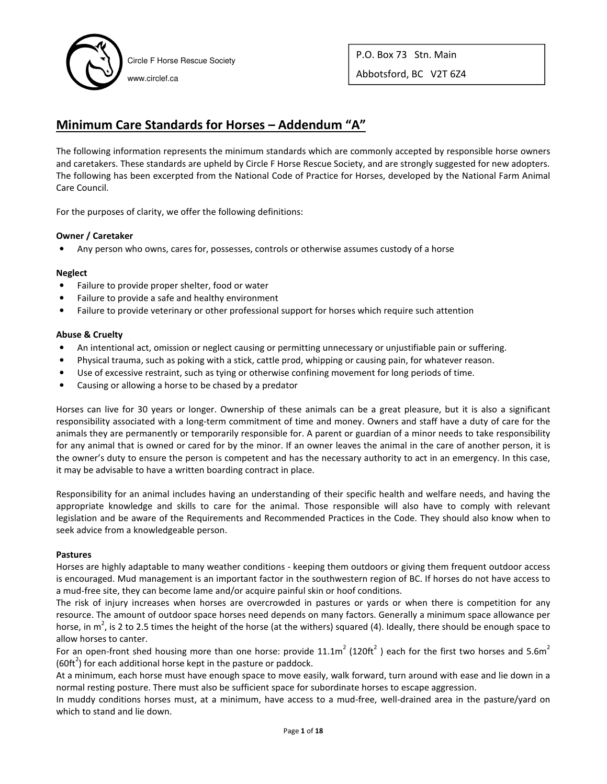

P.O. Box 73 Stn. Main Abbotsford, BC V2T 6Z4

# **Minimum Care Standards for Horses – Addendum "A"**

The following information represents the minimum standards which are commonly accepted by responsible horse owners and caretakers. These standards are upheld by Circle F Horse Rescue Society, and are strongly suggested for new adopters. The following has been excerpted from the National Code of Practice for Horses, developed by the National Farm Animal Care Council.

For the purposes of clarity, we offer the following definitions:

### **Owner / Caretaker**

• Any person who owns, cares for, possesses, controls or otherwise assumes custody of a horse

#### **Neglect**

- Failure to provide proper shelter, food or water
- Failure to provide a safe and healthy environment
- Failure to provide veterinary or other professional support for horses which require such attention

### **Abuse & Cruelty**

- An intentional act, omission or neglect causing or permitting unnecessary or unjustifiable pain or suffering.
- Physical trauma, such as poking with a stick, cattle prod, whipping or causing pain, for whatever reason.
- Use of excessive restraint, such as tying or otherwise confining movement for long periods of time.
- Causing or allowing a horse to be chased by a predator

Horses can live for 30 years or longer. Ownership of these animals can be a great pleasure, but it is also a significant responsibility associated with a long-term commitment of time and money. Owners and staff have a duty of care for the animals they are permanently or temporarily responsible for. A parent or guardian of a minor needs to take responsibility for any animal that is owned or cared for by the minor. If an owner leaves the animal in the care of another person, it is the owner's duty to ensure the person is competent and has the necessary authority to act in an emergency. In this case, it may be advisable to have a written boarding contract in place.

Responsibility for an animal includes having an understanding of their specific health and welfare needs, and having the appropriate knowledge and skills to care for the animal. Those responsible will also have to comply with relevant legislation and be aware of the Requirements and Recommended Practices in the Code. They should also know when to seek advice from a knowledgeable person.

#### **Pastures**

Horses are highly adaptable to many weather conditions - keeping them outdoors or giving them frequent outdoor access is encouraged. Mud management is an important factor in the southwestern region of BC. If horses do not have access to a mud-free site, they can become lame and/or acquire painful skin or hoof conditions.

The risk of injury increases when horses are overcrowded in pastures or yards or when there is competition for any resource. The amount of outdoor space horses need depends on many factors. Generally a minimum space allowance per horse, in m<sup>2</sup>, is 2 to 2.5 times the height of the horse (at the withers) squared (4). Ideally, there should be enough space to allow horses to canter.

For an open-front shed housing more than one horse: provide 11.1m<sup>2</sup> (120ft<sup>2</sup>) each for the first two horses and 5.6m<sup>2</sup> (60ft<sup>2</sup>) for each additional horse kept in the pasture or paddock.

At a minimum, each horse must have enough space to move easily, walk forward, turn around with ease and lie down in a normal resting posture. There must also be sufficient space for subordinate horses to escape aggression.

In muddy conditions horses must, at a minimum, have access to a mud-free, well-drained area in the pasture/yard on which to stand and lie down.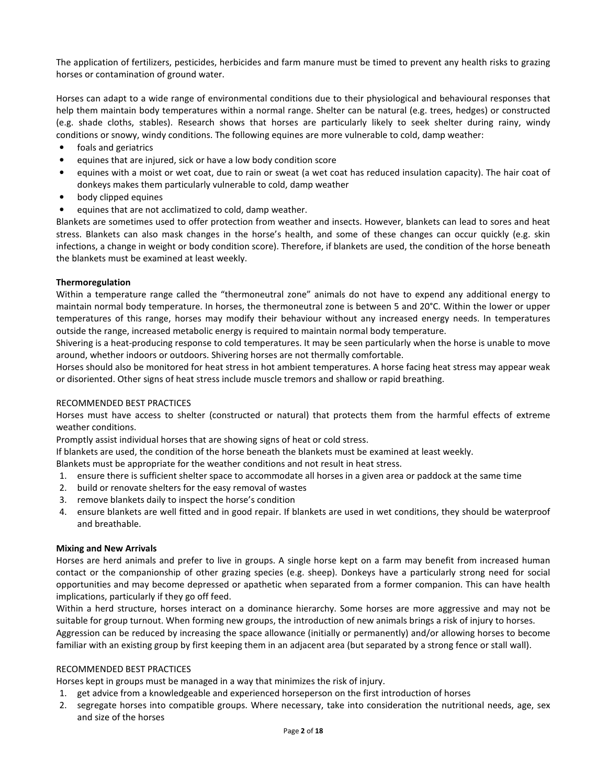The application of fertilizers, pesticides, herbicides and farm manure must be timed to prevent any health risks to grazing horses or contamination of ground water.

Horses can adapt to a wide range of environmental conditions due to their physiological and behavioural responses that help them maintain body temperatures within a normal range. Shelter can be natural (e.g. trees, hedges) or constructed (e.g. shade cloths, stables). Research shows that horses are particularly likely to seek shelter during rainy, windy conditions or snowy, windy conditions. The following equines are more vulnerable to cold, damp weather:

- foals and geriatrics
- equines that are injured, sick or have a low body condition score
- equines with a moist or wet coat, due to rain or sweat (a wet coat has reduced insulation capacity). The hair coat of donkeys makes them particularly vulnerable to cold, damp weather
- body clipped equines
- equines that are not acclimatized to cold, damp weather.

Blankets are sometimes used to offer protection from weather and insects. However, blankets can lead to sores and heat stress. Blankets can also mask changes in the horse's health, and some of these changes can occur quickly (e.g. skin infections, a change in weight or body condition score). Therefore, if blankets are used, the condition of the horse beneath the blankets must be examined at least weekly.

#### **Thermoregulation**

Within a temperature range called the "thermoneutral zone" animals do not have to expend any additional energy to maintain normal body temperature. In horses, the thermoneutral zone is between 5 and 20°C. Within the lower or upper temperatures of this range, horses may modify their behaviour without any increased energy needs. In temperatures outside the range, increased metabolic energy is required to maintain normal body temperature.

Shivering is a heat-producing response to cold temperatures. It may be seen particularly when the horse is unable to move around, whether indoors or outdoors. Shivering horses are not thermally comfortable.

Horses should also be monitored for heat stress in hot ambient temperatures. A horse facing heat stress may appear weak or disoriented. Other signs of heat stress include muscle tremors and shallow or rapid breathing.

### RECOMMENDED BEST PRACTICES

Horses must have access to shelter (constructed or natural) that protects them from the harmful effects of extreme weather conditions.

Promptly assist individual horses that are showing signs of heat or cold stress.

If blankets are used, the condition of the horse beneath the blankets must be examined at least weekly.

Blankets must be appropriate for the weather conditions and not result in heat stress.

- 1. ensure there is sufficient shelter space to accommodate all horses in a given area or paddock at the same time
- 2. build or renovate shelters for the easy removal of wastes
- 3. remove blankets daily to inspect the horse's condition
- 4. ensure blankets are well fitted and in good repair. If blankets are used in wet conditions, they should be waterproof and breathable.

#### **Mixing and New Arrivals**

Horses are herd animals and prefer to live in groups. A single horse kept on a farm may benefit from increased human contact or the companionship of other grazing species (e.g. sheep). Donkeys have a particularly strong need for social opportunities and may become depressed or apathetic when separated from a former companion. This can have health implications, particularly if they go off feed.

Within a herd structure, horses interact on a dominance hierarchy. Some horses are more aggressive and may not be suitable for group turnout. When forming new groups, the introduction of new animals brings a risk of injury to horses. Aggression can be reduced by increasing the space allowance (initially or permanently) and/or allowing horses to become familiar with an existing group by first keeping them in an adjacent area (but separated by a strong fence or stall wall).

### RECOMMENDED BEST PRACTICES

Horses kept in groups must be managed in a way that minimizes the risk of injury.

- 1. get advice from a knowledgeable and experienced horseperson on the first introduction of horses
- 2. segregate horses into compatible groups. Where necessary, take into consideration the nutritional needs, age, sex and size of the horses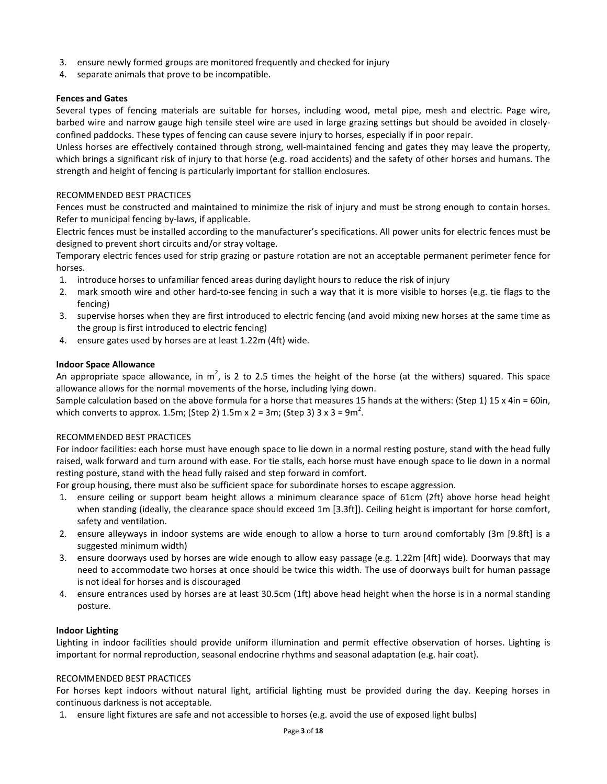- 3. ensure newly formed groups are monitored frequently and checked for injury
- 4. separate animals that prove to be incompatible.

### **Fences and Gates**

Several types of fencing materials are suitable for horses, including wood, metal pipe, mesh and electric. Page wire, barbed wire and narrow gauge high tensile steel wire are used in large grazing settings but should be avoided in closelyconfined paddocks. These types of fencing can cause severe injury to horses, especially if in poor repair.

Unless horses are effectively contained through strong, well-maintained fencing and gates they may leave the property, which brings a significant risk of injury to that horse (e.g. road accidents) and the safety of other horses and humans. The strength and height of fencing is particularly important for stallion enclosures.

### RECOMMENDED BEST PRACTICES

Fences must be constructed and maintained to minimize the risk of injury and must be strong enough to contain horses. Refer to municipal fencing by-laws, if applicable.

Electric fences must be installed according to the manufacturer's specifications. All power units for electric fences must be designed to prevent short circuits and/or stray voltage.

Temporary electric fences used for strip grazing or pasture rotation are not an acceptable permanent perimeter fence for horses.

- 1. introduce horses to unfamiliar fenced areas during daylight hours to reduce the risk of injury
- 2. mark smooth wire and other hard-to-see fencing in such a way that it is more visible to horses (e.g. tie flags to the fencing)
- 3. supervise horses when they are first introduced to electric fencing (and avoid mixing new horses at the same time as the group is first introduced to electric fencing)
- 4. ensure gates used by horses are at least 1.22m (4ft) wide.

#### **Indoor Space Allowance**

An appropriate space allowance, in m<sup>2</sup>, is 2 to 2.5 times the height of the horse (at the withers) squared. This space allowance allows for the normal movements of the horse, including lying down.

Sample calculation based on the above formula for a horse that measures 15 hands at the withers: (Step 1) 15 x 4in = 60in, which converts to approx. 1.5m; (Step 2) 1.5m x 2 = 3m; (Step 3) 3 x 3 = 9m<sup>2</sup>.

#### RECOMMENDED BEST PRACTICES

For indoor facilities: each horse must have enough space to lie down in a normal resting posture, stand with the head fully raised, walk forward and turn around with ease. For tie stalls, each horse must have enough space to lie down in a normal resting posture, stand with the head fully raised and step forward in comfort.

For group housing, there must also be sufficient space for subordinate horses to escape aggression.

- 1. ensure ceiling or support beam height allows a minimum clearance space of 61cm (2ft) above horse head height when standing (ideally, the clearance space should exceed 1m [3.3ft]). Ceiling height is important for horse comfort, safety and ventilation.
- 2. ensure alleyways in indoor systems are wide enough to allow a horse to turn around comfortably (3m [9.8ft] is a suggested minimum width)
- 3. ensure doorways used by horses are wide enough to allow easy passage (e.g. 1.22m [4ft] wide). Doorways that may need to accommodate two horses at once should be twice this width. The use of doorways built for human passage is not ideal for horses and is discouraged
- 4. ensure entrances used by horses are at least 30.5cm (1ft) above head height when the horse is in a normal standing posture.

#### **Indoor Lighting**

Lighting in indoor facilities should provide uniform illumination and permit effective observation of horses. Lighting is important for normal reproduction, seasonal endocrine rhythms and seasonal adaptation (e.g. hair coat).

#### RECOMMENDED BEST PRACTICES

For horses kept indoors without natural light, artificial lighting must be provided during the day. Keeping horses in continuous darkness is not acceptable.

1. ensure light fixtures are safe and not accessible to horses (e.g. avoid the use of exposed light bulbs)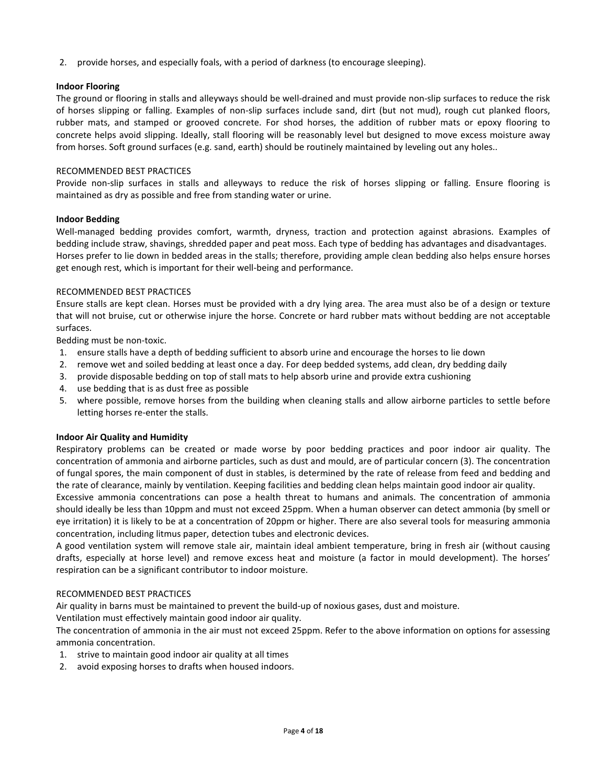2. provide horses, and especially foals, with a period of darkness (to encourage sleeping).

# **Indoor Flooring**

The ground or flooring in stalls and alleyways should be well-drained and must provide non-slip surfaces to reduce the risk of horses slipping or falling. Examples of non-slip surfaces include sand, dirt (but not mud), rough cut planked floors, rubber mats, and stamped or grooved concrete. For shod horses, the addition of rubber mats or epoxy flooring to concrete helps avoid slipping. Ideally, stall flooring will be reasonably level but designed to move excess moisture away from horses. Soft ground surfaces (e.g. sand, earth) should be routinely maintained by leveling out any holes..

# RECOMMENDED BEST PRACTICES

Provide non-slip surfaces in stalls and alleyways to reduce the risk of horses slipping or falling. Ensure flooring is maintained as dry as possible and free from standing water or urine.

### **Indoor Bedding**

Well-managed bedding provides comfort, warmth, dryness, traction and protection against abrasions. Examples of bedding include straw, shavings, shredded paper and peat moss. Each type of bedding has advantages and disadvantages. Horses prefer to lie down in bedded areas in the stalls; therefore, providing ample clean bedding also helps ensure horses get enough rest, which is important for their well-being and performance.

### RECOMMENDED BEST PRACTICES

Ensure stalls are kept clean. Horses must be provided with a dry lying area. The area must also be of a design or texture that will not bruise, cut or otherwise injure the horse. Concrete or hard rubber mats without bedding are not acceptable surfaces.

Bedding must be non-toxic.

- 1. ensure stalls have a depth of bedding sufficient to absorb urine and encourage the horses to lie down
- 2. remove wet and soiled bedding at least once a day. For deep bedded systems, add clean, dry bedding daily
- 3. provide disposable bedding on top of stall mats to help absorb urine and provide extra cushioning
- 4. use bedding that is as dust free as possible
- 5. where possible, remove horses from the building when cleaning stalls and allow airborne particles to settle before letting horses re-enter the stalls.

#### **Indoor Air Quality and Humidity**

Respiratory problems can be created or made worse by poor bedding practices and poor indoor air quality. The concentration of ammonia and airborne particles, such as dust and mould, are of particular concern (3). The concentration of fungal spores, the main component of dust in stables, is determined by the rate of release from feed and bedding and the rate of clearance, mainly by ventilation. Keeping facilities and bedding clean helps maintain good indoor air quality.

Excessive ammonia concentrations can pose a health threat to humans and animals. The concentration of ammonia should ideally be less than 10ppm and must not exceed 25ppm. When a human observer can detect ammonia (by smell or eye irritation) it is likely to be at a concentration of 20ppm or higher. There are also several tools for measuring ammonia concentration, including litmus paper, detection tubes and electronic devices.

A good ventilation system will remove stale air, maintain ideal ambient temperature, bring in fresh air (without causing drafts, especially at horse level) and remove excess heat and moisture (a factor in mould development). The horses' respiration can be a significant contributor to indoor moisture.

#### RECOMMENDED BEST PRACTICES

Air quality in barns must be maintained to prevent the build-up of noxious gases, dust and moisture.

Ventilation must effectively maintain good indoor air quality.

The concentration of ammonia in the air must not exceed 25ppm. Refer to the above information on options for assessing ammonia concentration.

- 1. strive to maintain good indoor air quality at all times
- 2. avoid exposing horses to drafts when housed indoors.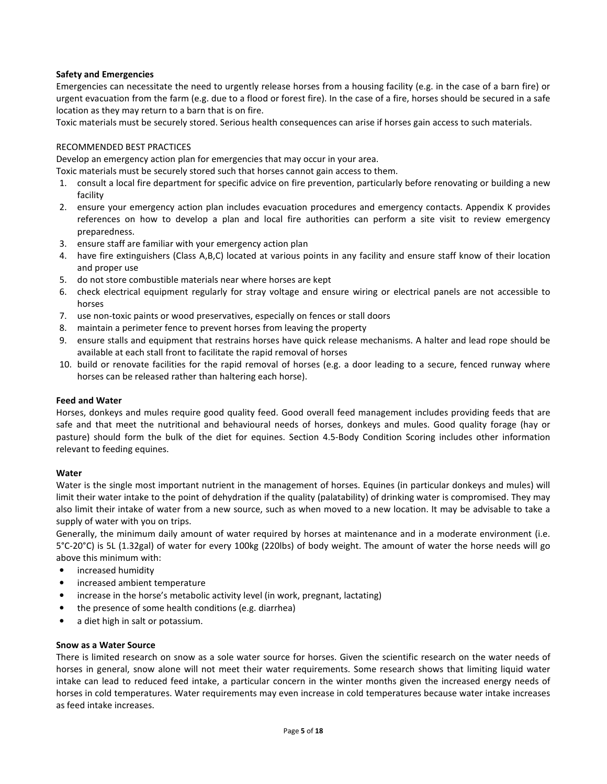# **Safety and Emergencies**

Emergencies can necessitate the need to urgently release horses from a housing facility (e.g. in the case of a barn fire) or urgent evacuation from the farm (e.g. due to a flood or forest fire). In the case of a fire, horses should be secured in a safe location as they may return to a barn that is on fire.

Toxic materials must be securely stored. Serious health consequences can arise if horses gain access to such materials.

# RECOMMENDED BEST PRACTICES

Develop an emergency action plan for emergencies that may occur in your area.

Toxic materials must be securely stored such that horses cannot gain access to them.

- 1. consult a local fire department for specific advice on fire prevention, particularly before renovating or building a new facility
- 2. ensure your emergency action plan includes evacuation procedures and emergency contacts. Appendix K provides references on how to develop a plan and local fire authorities can perform a site visit to review emergency preparedness.
- 3. ensure staff are familiar with your emergency action plan
- 4. have fire extinguishers (Class A,B,C) located at various points in any facility and ensure staff know of their location and proper use
- 5. do not store combustible materials near where horses are kept
- 6. check electrical equipment regularly for stray voltage and ensure wiring or electrical panels are not accessible to horses
- 7. use non-toxic paints or wood preservatives, especially on fences or stall doors
- 8. maintain a perimeter fence to prevent horses from leaving the property
- 9. ensure stalls and equipment that restrains horses have quick release mechanisms. A halter and lead rope should be available at each stall front to facilitate the rapid removal of horses
- 10. build or renovate facilities for the rapid removal of horses (e.g. a door leading to a secure, fenced runway where horses can be released rather than haltering each horse).

# **Feed and Water**

Horses, donkeys and mules require good quality feed. Good overall feed management includes providing feeds that are safe and that meet the nutritional and behavioural needs of horses, donkeys and mules. Good quality forage (hay or pasture) should form the bulk of the diet for equines. Section 4.5-Body Condition Scoring includes other information relevant to feeding equines.

# **Water**

Water is the single most important nutrient in the management of horses. Equines (in particular donkeys and mules) will limit their water intake to the point of dehydration if the quality (palatability) of drinking water is compromised. They may also limit their intake of water from a new source, such as when moved to a new location. It may be advisable to take a supply of water with you on trips.

Generally, the minimum daily amount of water required by horses at maintenance and in a moderate environment (i.e. 5°C-20°C) is 5L (1.32gal) of water for every 100kg (220lbs) of body weight. The amount of water the horse needs will go above this minimum with:

- increased humidity
- increased ambient temperature
- increase in the horse's metabolic activity level (in work, pregnant, lactating)
- the presence of some health conditions (e.g. diarrhea)
- a diet high in salt or potassium.

# **Snow as a Water Source**

There is limited research on snow as a sole water source for horses. Given the scientific research on the water needs of horses in general, snow alone will not meet their water requirements. Some research shows that limiting liquid water intake can lead to reduced feed intake, a particular concern in the winter months given the increased energy needs of horses in cold temperatures. Water requirements may even increase in cold temperatures because water intake increases as feed intake increases.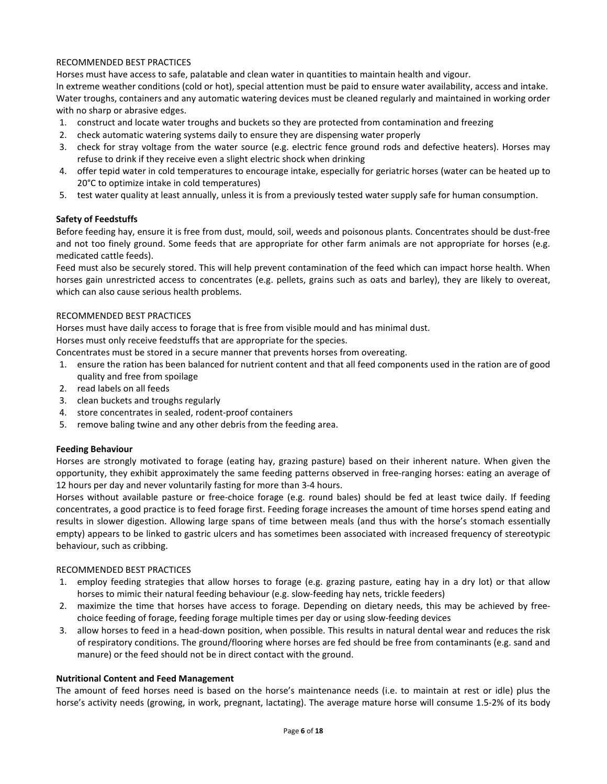# RECOMMENDED BEST PRACTICES

Horses must have access to safe, palatable and clean water in quantities to maintain health and vigour.

In extreme weather conditions (cold or hot), special attention must be paid to ensure water availability, access and intake. Water troughs, containers and any automatic watering devices must be cleaned regularly and maintained in working order with no sharp or abrasive edges.

- 1. construct and locate water troughs and buckets so they are protected from contamination and freezing
- 2. check automatic watering systems daily to ensure they are dispensing water properly
- 3. check for stray voltage from the water source (e.g. electric fence ground rods and defective heaters). Horses may refuse to drink if they receive even a slight electric shock when drinking
- 4. offer tepid water in cold temperatures to encourage intake, especially for geriatric horses (water can be heated up to 20°C to optimize intake in cold temperatures)
- 5. test water quality at least annually, unless it is from a previously tested water supply safe for human consumption.

# **Safety of Feedstuffs**

Before feeding hay, ensure it is free from dust, mould, soil, weeds and poisonous plants. Concentrates should be dust-free and not too finely ground. Some feeds that are appropriate for other farm animals are not appropriate for horses (e.g. medicated cattle feeds).

Feed must also be securely stored. This will help prevent contamination of the feed which can impact horse health. When horses gain unrestricted access to concentrates (e.g. pellets, grains such as oats and barley), they are likely to overeat, which can also cause serious health problems.

# RECOMMENDED BEST PRACTICES

Horses must have daily access to forage that is free from visible mould and has minimal dust.

Horses must only receive feedstuffs that are appropriate for the species.

Concentrates must be stored in a secure manner that prevents horses from overeating.

- 1. ensure the ration has been balanced for nutrient content and that all feed components used in the ration are of good quality and free from spoilage
- 2. read labels on all feeds
- 3. clean buckets and troughs regularly
- 4. store concentrates in sealed, rodent-proof containers
- 5. remove baling twine and any other debris from the feeding area.

# **Feeding Behaviour**

Horses are strongly motivated to forage (eating hay, grazing pasture) based on their inherent nature. When given the opportunity, they exhibit approximately the same feeding patterns observed in free-ranging horses: eating an average of 12 hours per day and never voluntarily fasting for more than 3-4 hours.

Horses without available pasture or free-choice forage (e.g. round bales) should be fed at least twice daily. If feeding concentrates, a good practice is to feed forage first. Feeding forage increases the amount of time horses spend eating and results in slower digestion. Allowing large spans of time between meals (and thus with the horse's stomach essentially empty) appears to be linked to gastric ulcers and has sometimes been associated with increased frequency of stereotypic behaviour, such as cribbing.

# RECOMMENDED BEST PRACTICES

- 1. employ feeding strategies that allow horses to forage (e.g. grazing pasture, eating hay in a dry lot) or that allow horses to mimic their natural feeding behaviour (e.g. slow-feeding hay nets, trickle feeders)
- 2. maximize the time that horses have access to forage. Depending on dietary needs, this may be achieved by freechoice feeding of forage, feeding forage multiple times per day or using slow-feeding devices
- 3. allow horses to feed in a head-down position, when possible. This results in natural dental wear and reduces the risk of respiratory conditions. The ground/flooring where horses are fed should be free from contaminants (e.g. sand and manure) or the feed should not be in direct contact with the ground.

# **Nutritional Content and Feed Management**

The amount of feed horses need is based on the horse's maintenance needs (i.e. to maintain at rest or idle) plus the horse's activity needs (growing, in work, pregnant, lactating). The average mature horse will consume 1.5-2% of its body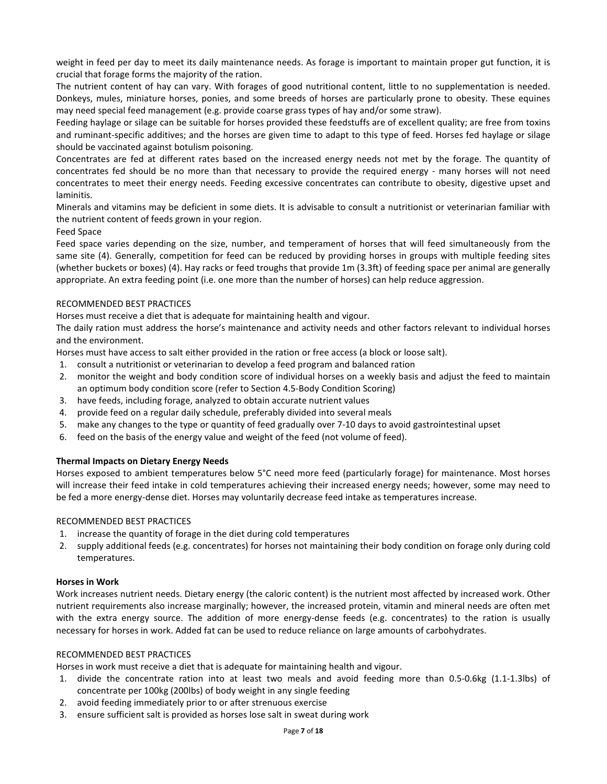weight in feed per day to meet its daily maintenance needs. As forage is important to maintain proper gut function, it is crucial that forage forms the majority of the ration.

The nutrient content of hay can vary. With forages of good nutritional content, little to no supplementation is needed. Donkeys, mules, miniature horses, ponies, and some breeds of horses are particularly prone to obesity. These equines may need special feed management (e.g. provide coarse grass types of hay and/or some straw).

Feeding haylage or silage can be suitable for horses provided these feedstuffs are of excellent quality; are free from toxins and ruminant-specific additives; and the horses are given time to adapt to this type of feed. Horses fed haylage or silage should be vaccinated against botulism poisoning.

Concentrates are fed at different rates based on the increased energy needs not met by the forage. The quantity of concentrates fed should be no more than that necessary to provide the required energy - many horses will not need concentrates to meet their energy needs. Feeding excessive concentrates can contribute to obesity, digestive upset and laminitis.

Minerals and vitamins may be deficient in some diets. It is advisable to consult a nutritionist or veterinarian familiar with the nutrient content of feeds grown in your region.

# Feed Space

Feed space varies depending on the size, number, and temperament of horses that will feed simultaneously from the same site (4). Generally, competition for feed can be reduced by providing horses in groups with multiple feeding sites (whether buckets or boxes) (4). Hay racks or feed troughs that provide 1m (3.3ft) of feeding space per animal are generally appropriate. An extra feeding point (i.e. one more than the number of horses) can help reduce aggression.

# RECOMMENDED BEST PRACTICES

Horses must receive a diet that is adequate for maintaining health and vigour.

The daily ration must address the horse's maintenance and activity needs and other factors relevant to individual horses and the environment.

Horses must have access to salt either provided in the ration or free access (a block or loose salt).

- 1. consult a nutritionist or veterinarian to develop a feed program and balanced ration
- 2. monitor the weight and body condition score of individual horses on a weekly basis and adjust the feed to maintain an optimum body condition score (refer to Section 4.5-Body Condition Scoring)
- 3. have feeds, including forage, analyzed to obtain accurate nutrient values
- 4. provide feed on a regular daily schedule, preferably divided into several meals
- 5. make any changes to the type or quantity of feed gradually over 7-10 days to avoid gastrointestinal upset
- 6. feed on the basis of the energy value and weight of the feed (not volume of feed).

# **Thermal Impacts on Dietary Energy Needs**

Horses exposed to ambient temperatures below 5°C need more feed (particularly forage) for maintenance. Most horses will increase their feed intake in cold temperatures achieving their increased energy needs; however, some may need to be fed a more energy-dense diet. Horses may voluntarily decrease feed intake as temperatures increase.

# RECOMMENDED BEST PRACTICES

- 1. increase the quantity of forage in the diet during cold temperatures
- 2. supply additional feeds (e.g. concentrates) for horses not maintaining their body condition on forage only during cold temperatures.

# **Horses in Work**

Work increases nutrient needs. Dietary energy (the caloric content) is the nutrient most affected by increased work. Other nutrient requirements also increase marginally; however, the increased protein, vitamin and mineral needs are often met with the extra energy source. The addition of more energy-dense feeds (e.g. concentrates) to the ration is usually necessary for horses in work. Added fat can be used to reduce reliance on large amounts of carbohydrates.

# RECOMMENDED BEST PRACTICES

Horses in work must receive a diet that is adequate for maintaining health and vigour.

- 1. divide the concentrate ration into at least two meals and avoid feeding more than 0.5-0.6kg (1.1-1.3lbs) of concentrate per 100kg (200lbs) of body weight in any single feeding
- 2. avoid feeding immediately prior to or after strenuous exercise
- 3. ensure sufficient salt is provided as horses lose salt in sweat during work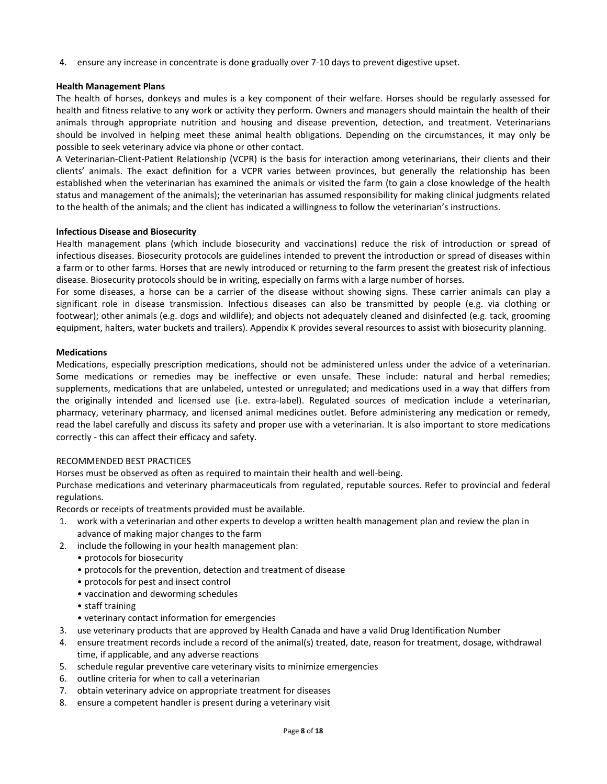4. ensure any increase in concentrate is done gradually over 7-10 days to prevent digestive upset.

# **Health Management Plans**

The health of horses, donkeys and mules is a key component of their welfare. Horses should be regularly assessed for health and fitness relative to any work or activity they perform. Owners and managers should maintain the health of their animals through appropriate nutrition and housing and disease prevention, detection, and treatment. Veterinarians should be involved in helping meet these animal health obligations. Depending on the circumstances, it may only be possible to seek veterinary advice via phone or other contact.

A Veterinarian-Client-Patient Relationship (VCPR) is the basis for interaction among veterinarians, their clients and their clients' animals. The exact definition for a VCPR varies between provinces, but generally the relationship has been established when the veterinarian has examined the animals or visited the farm (to gain a close knowledge of the health status and management of the animals); the veterinarian has assumed responsibility for making clinical judgments related to the health of the animals; and the client has indicated a willingness to follow the veterinarian's instructions.

# **Infectious Disease and Biosecurity**

Health management plans (which include biosecurity and vaccinations) reduce the risk of introduction or spread of infectious diseases. Biosecurity protocols are guidelines intended to prevent the introduction or spread of diseases within a farm or to other farms. Horses that are newly introduced or returning to the farm present the greatest risk of infectious disease. Biosecurity protocols should be in writing, especially on farms with a large number of horses.

For some diseases, a horse can be a carrier of the disease without showing signs. These carrier animals can play a significant role in disease transmission. Infectious diseases can also be transmitted by people (e.g. via clothing or footwear); other animals (e.g. dogs and wildlife); and objects not adequately cleaned and disinfected (e.g. tack, grooming equipment, halters, water buckets and trailers). Appendix K provides several resources to assist with biosecurity planning.

### **Medications**

Medications, especially prescription medications, should not be administered unless under the advice of a veterinarian. Some medications or remedies may be ineffective or even unsafe. These include: natural and herbal remedies; supplements, medications that are unlabeled, untested or unregulated; and medications used in a way that differs from the originally intended and licensed use (i.e. extra-label). Regulated sources of medication include a veterinarian, pharmacy, veterinary pharmacy, and licensed animal medicines outlet. Before administering any medication or remedy, read the label carefully and discuss its safety and proper use with a veterinarian. It is also important to store medications correctly - this can affect their efficacy and safety.

# RECOMMENDED BEST PRACTICES

Horses must be observed as often as required to maintain their health and well-being.

Purchase medications and veterinary pharmaceuticals from regulated, reputable sources. Refer to provincial and federal regulations.

Records or receipts of treatments provided must be available.

- 1. work with a veterinarian and other experts to develop a written health management plan and review the plan in advance of making major changes to the farm
- 2. include the following in your health management plan:
	- protocols for biosecurity
	- protocols for the prevention, detection and treatment of disease
	- protocols for pest and insect control
	- vaccination and deworming schedules
	- staff training
	- veterinary contact information for emergencies
- 3. use veterinary products that are approved by Health Canada and have a valid Drug Identification Number
- 4. ensure treatment records include a record of the animal(s) treated, date, reason for treatment, dosage, withdrawal time, if applicable, and any adverse reactions
- 5. schedule regular preventive care veterinary visits to minimize emergencies
- 6. outline criteria for when to call a veterinarian
- 7. obtain veterinary advice on appropriate treatment for diseases
- 8. ensure a competent handler is present during a veterinary visit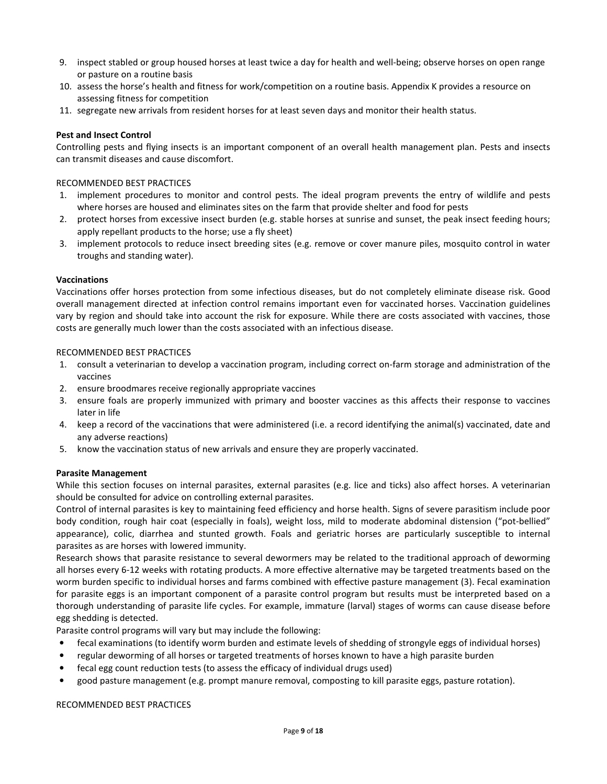- 9. inspect stabled or group housed horses at least twice a day for health and well-being; observe horses on open range or pasture on a routine basis
- 10. assess the horse's health and fitness for work/competition on a routine basis. Appendix K provides a resource on assessing fitness for competition
- 11. segregate new arrivals from resident horses for at least seven days and monitor their health status.

### **Pest and Insect Control**

Controlling pests and flying insects is an important component of an overall health management plan. Pests and insects can transmit diseases and cause discomfort.

### RECOMMENDED BEST PRACTICES

- 1. implement procedures to monitor and control pests. The ideal program prevents the entry of wildlife and pests where horses are housed and eliminates sites on the farm that provide shelter and food for pests
- 2. protect horses from excessive insect burden (e.g. stable horses at sunrise and sunset, the peak insect feeding hours; apply repellant products to the horse; use a fly sheet)
- 3. implement protocols to reduce insect breeding sites (e.g. remove or cover manure piles, mosquito control in water troughs and standing water).

#### **Vaccinations**

Vaccinations offer horses protection from some infectious diseases, but do not completely eliminate disease risk. Good overall management directed at infection control remains important even for vaccinated horses. Vaccination guidelines vary by region and should take into account the risk for exposure. While there are costs associated with vaccines, those costs are generally much lower than the costs associated with an infectious disease.

#### RECOMMENDED BEST PRACTICES

- 1. consult a veterinarian to develop a vaccination program, including correct on-farm storage and administration of the vaccines
- 2. ensure broodmares receive regionally appropriate vaccines
- 3. ensure foals are properly immunized with primary and booster vaccines as this affects their response to vaccines later in life
- 4. keep a record of the vaccinations that were administered (i.e. a record identifying the animal(s) vaccinated, date and any adverse reactions)
- 5. know the vaccination status of new arrivals and ensure they are properly vaccinated.

#### **Parasite Management**

While this section focuses on internal parasites, external parasites (e.g. lice and ticks) also affect horses. A veterinarian should be consulted for advice on controlling external parasites.

Control of internal parasites is key to maintaining feed efficiency and horse health. Signs of severe parasitism include poor body condition, rough hair coat (especially in foals), weight loss, mild to moderate abdominal distension ("pot-bellied" appearance), colic, diarrhea and stunted growth. Foals and geriatric horses are particularly susceptible to internal parasites as are horses with lowered immunity.

Research shows that parasite resistance to several dewormers may be related to the traditional approach of deworming all horses every 6-12 weeks with rotating products. A more effective alternative may be targeted treatments based on the worm burden specific to individual horses and farms combined with effective pasture management (3). Fecal examination for parasite eggs is an important component of a parasite control program but results must be interpreted based on a thorough understanding of parasite life cycles. For example, immature (larval) stages of worms can cause disease before egg shedding is detected.

Parasite control programs will vary but may include the following:

- fecal examinations (to identify worm burden and estimate levels of shedding of strongyle eggs of individual horses)
- regular deworming of all horses or targeted treatments of horses known to have a high parasite burden
- fecal egg count reduction tests (to assess the efficacy of individual drugs used)
- good pasture management (e.g. prompt manure removal, composting to kill parasite eggs, pasture rotation).

#### RECOMMENDED BEST PRACTICES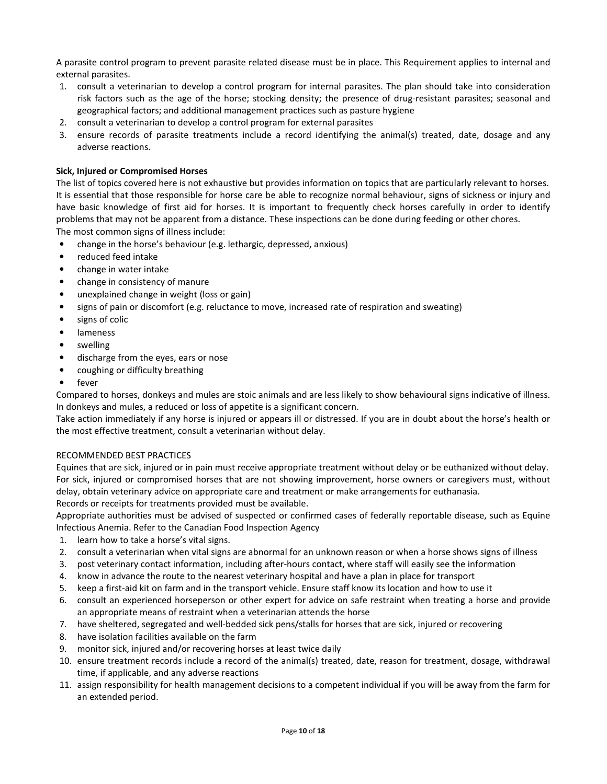A parasite control program to prevent parasite related disease must be in place. This Requirement applies to internal and external parasites.

- 1. consult a veterinarian to develop a control program for internal parasites. The plan should take into consideration risk factors such as the age of the horse; stocking density; the presence of drug-resistant parasites; seasonal and geographical factors; and additional management practices such as pasture hygiene
- 2. consult a veterinarian to develop a control program for external parasites
- 3. ensure records of parasite treatments include a record identifying the animal(s) treated, date, dosage and any adverse reactions.

# **Sick, Injured or Compromised Horses**

The list of topics covered here is not exhaustive but provides information on topics that are particularly relevant to horses. It is essential that those responsible for horse care be able to recognize normal behaviour, signs of sickness or injury and have basic knowledge of first aid for horses. It is important to frequently check horses carefully in order to identify problems that may not be apparent from a distance. These inspections can be done during feeding or other chores. The most common signs of illness include:

- change in the horse's behaviour (e.g. lethargic, depressed, anxious)
- reduced feed intake
- change in water intake
- change in consistency of manure
- unexplained change in weight (loss or gain)
- signs of pain or discomfort (e.g. reluctance to move, increased rate of respiration and sweating)
- signs of colic
- lameness
- swelling
- discharge from the eyes, ears or nose
- coughing or difficulty breathing
- fever

Compared to horses, donkeys and mules are stoic animals and are less likely to show behavioural signs indicative of illness. In donkeys and mules, a reduced or loss of appetite is a significant concern.

Take action immediately if any horse is injured or appears ill or distressed. If you are in doubt about the horse's health or the most effective treatment, consult a veterinarian without delay.

# RECOMMENDED BEST PRACTICES

Equines that are sick, injured or in pain must receive appropriate treatment without delay or be euthanized without delay. For sick, injured or compromised horses that are not showing improvement, horse owners or caregivers must, without delay, obtain veterinary advice on appropriate care and treatment or make arrangements for euthanasia.

Records or receipts for treatments provided must be available.

Appropriate authorities must be advised of suspected or confirmed cases of federally reportable disease, such as Equine Infectious Anemia. Refer to the Canadian Food Inspection Agency

- 1. learn how to take a horse's vital signs.
- 2. consult a veterinarian when vital signs are abnormal for an unknown reason or when a horse shows signs of illness
- 3. post veterinary contact information, including after-hours contact, where staff will easily see the information
- 4. know in advance the route to the nearest veterinary hospital and have a plan in place for transport
- 5. keep a first-aid kit on farm and in the transport vehicle. Ensure staff know its location and how to use it
- 6. consult an experienced horseperson or other expert for advice on safe restraint when treating a horse and provide an appropriate means of restraint when a veterinarian attends the horse
- 7. have sheltered, segregated and well-bedded sick pens/stalls for horses that are sick, injured or recovering
- 8. have isolation facilities available on the farm
- 9. monitor sick, injured and/or recovering horses at least twice daily
- 10. ensure treatment records include a record of the animal(s) treated, date, reason for treatment, dosage, withdrawal time, if applicable, and any adverse reactions
- 11. assign responsibility for health management decisions to a competent individual if you will be away from the farm for an extended period.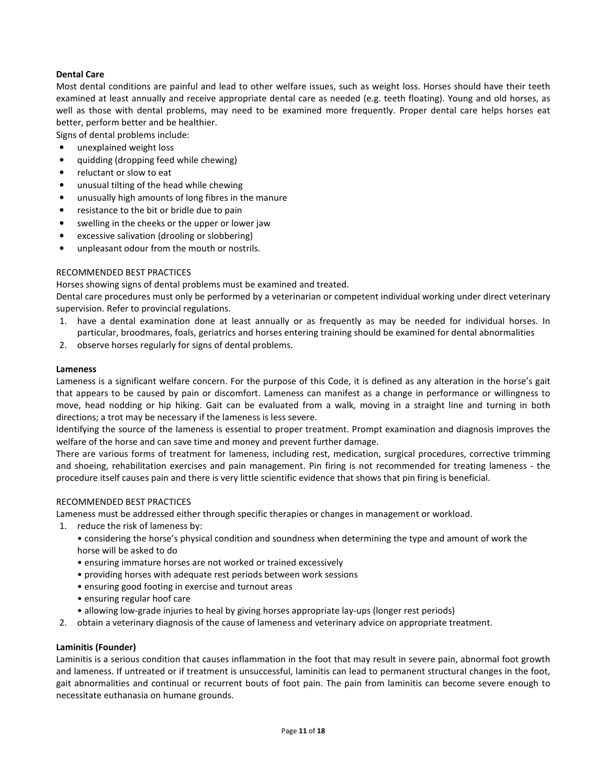# **Dental Care**

Most dental conditions are painful and lead to other welfare issues, such as weight loss. Horses should have their teeth examined at least annually and receive appropriate dental care as needed (e.g. teeth floating). Young and old horses, as well as those with dental problems, may need to be examined more frequently. Proper dental care helps horses eat better, perform better and be healthier.

Signs of dental problems include:

- unexplained weight loss
- quidding (dropping feed while chewing)
- reluctant or slow to eat
- unusual tilting of the head while chewing
- unusually high amounts of long fibres in the manure
- resistance to the bit or bridle due to pain
- swelling in the cheeks or the upper or lower jaw
- excessive salivation (drooling or slobbering)
- unpleasant odour from the mouth or nostrils.

# RECOMMENDED BEST PRACTICES

Horses showing signs of dental problems must be examined and treated.

Dental care procedures must only be performed by a veterinarian or competent individual working under direct veterinary supervision. Refer to provincial regulations.

- 1. have a dental examination done at least annually or as frequently as may be needed for individual horses. In particular, broodmares, foals, geriatrics and horses entering training should be examined for dental abnormalities
- 2. observe horses regularly for signs of dental problems.

### **Lameness**

Lameness is a significant welfare concern. For the purpose of this Code, it is defined as any alteration in the horse's gait that appears to be caused by pain or discomfort. Lameness can manifest as a change in performance or willingness to move, head nodding or hip hiking. Gait can be evaluated from a walk, moving in a straight line and turning in both directions; a trot may be necessary if the lameness is less severe.

Identifying the source of the lameness is essential to proper treatment. Prompt examination and diagnosis improves the welfare of the horse and can save time and money and prevent further damage.

There are various forms of treatment for lameness, including rest, medication, surgical procedures, corrective trimming and shoeing, rehabilitation exercises and pain management. Pin firing is not recommended for treating lameness - the procedure itself causes pain and there is very little scientific evidence that shows that pin firing is beneficial.

# RECOMMENDED BEST PRACTICES

Lameness must be addressed either through specific therapies or changes in management or workload.

- 1. reduce the risk of lameness by:
	- considering the horse's physical condition and soundness when determining the type and amount of work the horse will be asked to do
	- ensuring immature horses are not worked or trained excessively
	- providing horses with adequate rest periods between work sessions
	- ensuring good footing in exercise and turnout areas
	- ensuring regular hoof care
	- allowing low-grade injuries to heal by giving horses appropriate lay-ups (longer rest periods)
- 2. obtain a veterinary diagnosis of the cause of lameness and veterinary advice on appropriate treatment.

# **Laminitis (Founder)**

Laminitis is a serious condition that causes inflammation in the foot that may result in severe pain, abnormal foot growth and lameness. If untreated or if treatment is unsuccessful, laminitis can lead to permanent structural changes in the foot, gait abnormalities and continual or recurrent bouts of foot pain. The pain from laminitis can become severe enough to necessitate euthanasia on humane grounds.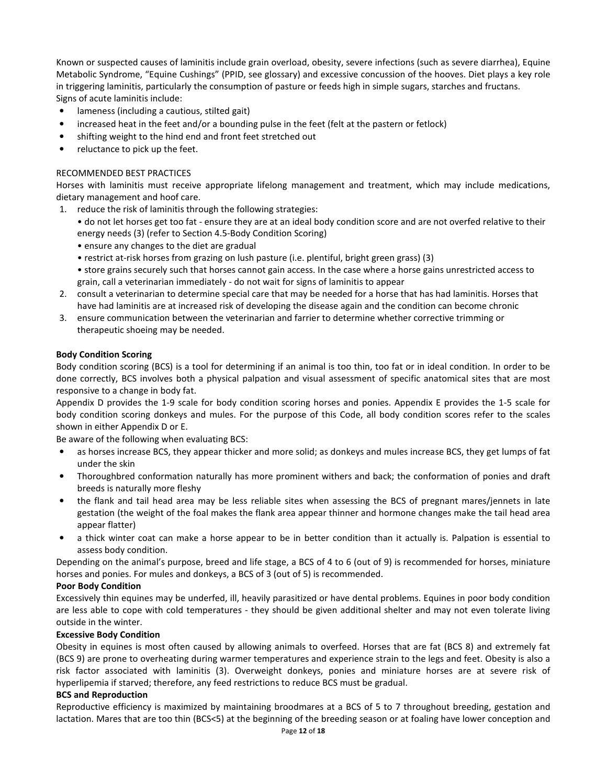Known or suspected causes of laminitis include grain overload, obesity, severe infections (such as severe diarrhea), Equine Metabolic Syndrome, "Equine Cushings" (PPID, see glossary) and excessive concussion of the hooves. Diet plays a key role in triggering laminitis, particularly the consumption of pasture or feeds high in simple sugars, starches and fructans. Signs of acute laminitis include:

- lameness (including a cautious, stilted gait)
- increased heat in the feet and/or a bounding pulse in the feet (felt at the pastern or fetlock)
- shifting weight to the hind end and front feet stretched out
- reluctance to pick up the feet.

# RECOMMENDED BEST PRACTICES

Horses with laminitis must receive appropriate lifelong management and treatment, which may include medications, dietary management and hoof care.

1. reduce the risk of laminitis through the following strategies:

• do not let horses get too fat - ensure they are at an ideal body condition score and are not overfed relative to their energy needs (3) (refer to Section 4.5-Body Condition Scoring)

- ensure any changes to the diet are gradual
- restrict at-risk horses from grazing on lush pasture (i.e. plentiful, bright green grass) (3)
- store grains securely such that horses cannot gain access. In the case where a horse gains unrestricted access to grain, call a veterinarian immediately - do not wait for signs of laminitis to appear
- 2. consult a veterinarian to determine special care that may be needed for a horse that has had laminitis. Horses that have had laminitis are at increased risk of developing the disease again and the condition can become chronic
- 3. ensure communication between the veterinarian and farrier to determine whether corrective trimming or therapeutic shoeing may be needed.

### **Body Condition Scoring**

Body condition scoring (BCS) is a tool for determining if an animal is too thin, too fat or in ideal condition. In order to be done correctly, BCS involves both a physical palpation and visual assessment of specific anatomical sites that are most responsive to a change in body fat.

Appendix D provides the 1-9 scale for body condition scoring horses and ponies. Appendix E provides the 1-5 scale for body condition scoring donkeys and mules. For the purpose of this Code, all body condition scores refer to the scales shown in either Appendix D or E.

Be aware of the following when evaluating BCS:

- as horses increase BCS, they appear thicker and more solid; as donkeys and mules increase BCS, they get lumps of fat under the skin
- Thoroughbred conformation naturally has more prominent withers and back; the conformation of ponies and draft breeds is naturally more fleshy
- the flank and tail head area may be less reliable sites when assessing the BCS of pregnant mares/jennets in late gestation (the weight of the foal makes the flank area appear thinner and hormone changes make the tail head area appear flatter)
- a thick winter coat can make a horse appear to be in better condition than it actually is. Palpation is essential to assess body condition.

Depending on the animal's purpose, breed and life stage, a BCS of 4 to 6 (out of 9) is recommended for horses, miniature horses and ponies. For mules and donkeys, a BCS of 3 (out of 5) is recommended.

# **Poor Body Condition**

Excessively thin equines may be underfed, ill, heavily parasitized or have dental problems. Equines in poor body condition are less able to cope with cold temperatures - they should be given additional shelter and may not even tolerate living outside in the winter.

# **Excessive Body Condition**

Obesity in equines is most often caused by allowing animals to overfeed. Horses that are fat (BCS 8) and extremely fat (BCS 9) are prone to overheating during warmer temperatures and experience strain to the legs and feet. Obesity is also a risk factor associated with laminitis (3). Overweight donkeys, ponies and miniature horses are at severe risk of hyperlipemia if starved; therefore, any feed restrictions to reduce BCS must be gradual.

#### **BCS and Reproduction**

Reproductive efficiency is maximized by maintaining broodmares at a BCS of 5 to 7 throughout breeding, gestation and lactation. Mares that are too thin (BCS<5) at the beginning of the breeding season or at foaling have lower conception and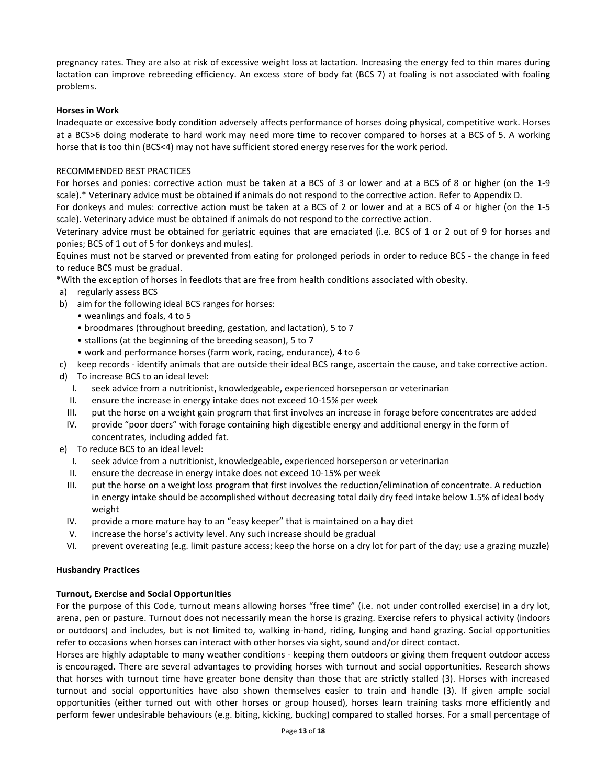pregnancy rates. They are also at risk of excessive weight loss at lactation. Increasing the energy fed to thin mares during lactation can improve rebreeding efficiency. An excess store of body fat (BCS 7) at foaling is not associated with foaling problems.

### **Horses in Work**

Inadequate or excessive body condition adversely affects performance of horses doing physical, competitive work. Horses at a BCS>6 doing moderate to hard work may need more time to recover compared to horses at a BCS of 5. A working horse that is too thin (BCS<4) may not have sufficient stored energy reserves for the work period.

### RECOMMENDED BEST PRACTICES

For horses and ponies: corrective action must be taken at a BCS of 3 or lower and at a BCS of 8 or higher (on the 1-9 scale).\* Veterinary advice must be obtained if animals do not respond to the corrective action. Refer to Appendix D.

For donkeys and mules: corrective action must be taken at a BCS of 2 or lower and at a BCS of 4 or higher (on the 1-5 scale). Veterinary advice must be obtained if animals do not respond to the corrective action.

Veterinary advice must be obtained for geriatric equines that are emaciated (i.e. BCS of 1 or 2 out of 9 for horses and ponies; BCS of 1 out of 5 for donkeys and mules).

Equines must not be starved or prevented from eating for prolonged periods in order to reduce BCS - the change in feed to reduce BCS must be gradual.

\*With the exception of horses in feedlots that are free from health conditions associated with obesity.

- a) regularly assess BCS
- b) aim for the following ideal BCS ranges for horses:
	- weanlings and foals, 4 to 5
	- broodmares (throughout breeding, gestation, and lactation), 5 to 7
	- stallions (at the beginning of the breeding season), 5 to 7
	- work and performance horses (farm work, racing, endurance), 4 to 6
- c) keep records identify animals that are outside their ideal BCS range, ascertain the cause, and take corrective action.
- d) To increase BCS to an ideal level:
	- I. seek advice from a nutritionist, knowledgeable, experienced horseperson or veterinarian
	- II. ensure the increase in energy intake does not exceed 10-15% per week
	- III. put the horse on a weight gain program that first involves an increase in forage before concentrates are added
	- IV. provide "poor doers" with forage containing high digestible energy and additional energy in the form of concentrates, including added fat.
- e) To reduce BCS to an ideal level:
	- I. seek advice from a nutritionist, knowledgeable, experienced horseperson or veterinarian
	- II. ensure the decrease in energy intake does not exceed 10-15% per week
	- III. put the horse on a weight loss program that first involves the reduction/elimination of concentrate. A reduction in energy intake should be accomplished without decreasing total daily dry feed intake below 1.5% of ideal body weight
	- IV. provide a more mature hay to an "easy keeper" that is maintained on a hay diet
	- V. increase the horse's activity level. Any such increase should be gradual
	- VI. prevent overeating (e.g. limit pasture access; keep the horse on a dry lot for part of the day; use a grazing muzzle)

#### **Husbandry Practices**

#### **Turnout, Exercise and Social Opportunities**

For the purpose of this Code, turnout means allowing horses "free time" (i.e. not under controlled exercise) in a dry lot, arena, pen or pasture. Turnout does not necessarily mean the horse is grazing. Exercise refers to physical activity (indoors or outdoors) and includes, but is not limited to, walking in-hand, riding, lunging and hand grazing. Social opportunities refer to occasions when horses can interact with other horses via sight, sound and/or direct contact.

Horses are highly adaptable to many weather conditions - keeping them outdoors or giving them frequent outdoor access is encouraged. There are several advantages to providing horses with turnout and social opportunities. Research shows that horses with turnout time have greater bone density than those that are strictly stalled (3). Horses with increased turnout and social opportunities have also shown themselves easier to train and handle (3). If given ample social opportunities (either turned out with other horses or group housed), horses learn training tasks more efficiently and perform fewer undesirable behaviours (e.g. biting, kicking, bucking) compared to stalled horses. For a small percentage of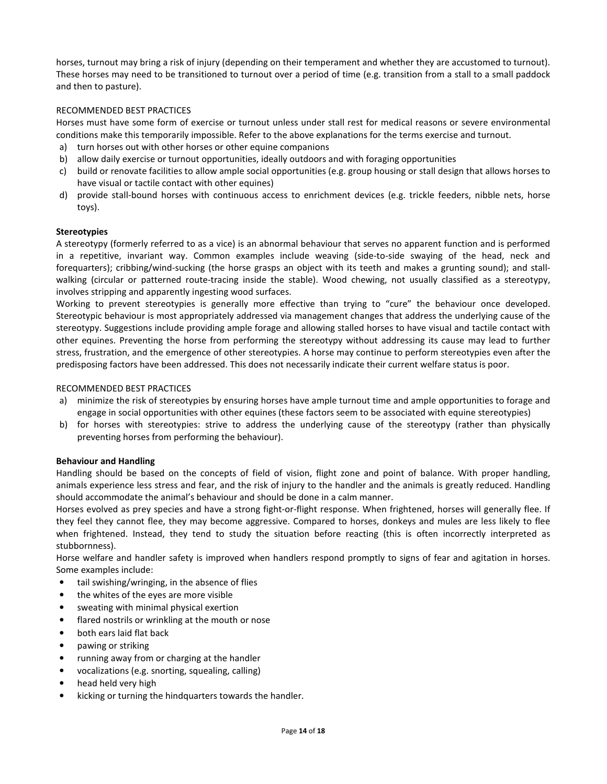horses, turnout may bring a risk of injury (depending on their temperament and whether they are accustomed to turnout). These horses may need to be transitioned to turnout over a period of time (e.g. transition from a stall to a small paddock and then to pasture).

# RECOMMENDED BEST PRACTICES

Horses must have some form of exercise or turnout unless under stall rest for medical reasons or severe environmental conditions make this temporarily impossible. Refer to the above explanations for the terms exercise and turnout.

- a) turn horses out with other horses or other equine companions
- b) allow daily exercise or turnout opportunities, ideally outdoors and with foraging opportunities
- c) build or renovate facilities to allow ample social opportunities (e.g. group housing or stall design that allows horses to have visual or tactile contact with other equines)
- d) provide stall-bound horses with continuous access to enrichment devices (e.g. trickle feeders, nibble nets, horse toys).

### **Stereotypies**

A stereotypy (formerly referred to as a vice) is an abnormal behaviour that serves no apparent function and is performed in a repetitive, invariant way. Common examples include weaving (side-to-side swaying of the head, neck and forequarters); cribbing/wind-sucking (the horse grasps an object with its teeth and makes a grunting sound); and stallwalking (circular or patterned route-tracing inside the stable). Wood chewing, not usually classified as a stereotypy, involves stripping and apparently ingesting wood surfaces.

Working to prevent stereotypies is generally more effective than trying to "cure" the behaviour once developed. Stereotypic behaviour is most appropriately addressed via management changes that address the underlying cause of the stereotypy. Suggestions include providing ample forage and allowing stalled horses to have visual and tactile contact with other equines. Preventing the horse from performing the stereotypy without addressing its cause may lead to further stress, frustration, and the emergence of other stereotypies. A horse may continue to perform stereotypies even after the predisposing factors have been addressed. This does not necessarily indicate their current welfare status is poor.

### RECOMMENDED BEST PRACTICES

- a) minimize the risk of stereotypies by ensuring horses have ample turnout time and ample opportunities to forage and engage in social opportunities with other equines (these factors seem to be associated with equine stereotypies)
- b) for horses with stereotypies: strive to address the underlying cause of the stereotypy (rather than physically preventing horses from performing the behaviour).

#### **Behaviour and Handling**

Handling should be based on the concepts of field of vision, flight zone and point of balance. With proper handling, animals experience less stress and fear, and the risk of injury to the handler and the animals is greatly reduced. Handling should accommodate the animal's behaviour and should be done in a calm manner.

Horses evolved as prey species and have a strong fight-or-flight response. When frightened, horses will generally flee. If they feel they cannot flee, they may become aggressive. Compared to horses, donkeys and mules are less likely to flee when frightened. Instead, they tend to study the situation before reacting (this is often incorrectly interpreted as stubbornness).

Horse welfare and handler safety is improved when handlers respond promptly to signs of fear and agitation in horses. Some examples include:

- tail swishing/wringing, in the absence of flies
- the whites of the eyes are more visible
- sweating with minimal physical exertion
- flared nostrils or wrinkling at the mouth or nose
- both ears laid flat back
- pawing or striking
- running away from or charging at the handler
- vocalizations (e.g. snorting, squealing, calling)
- head held very high
- kicking or turning the hindquarters towards the handler.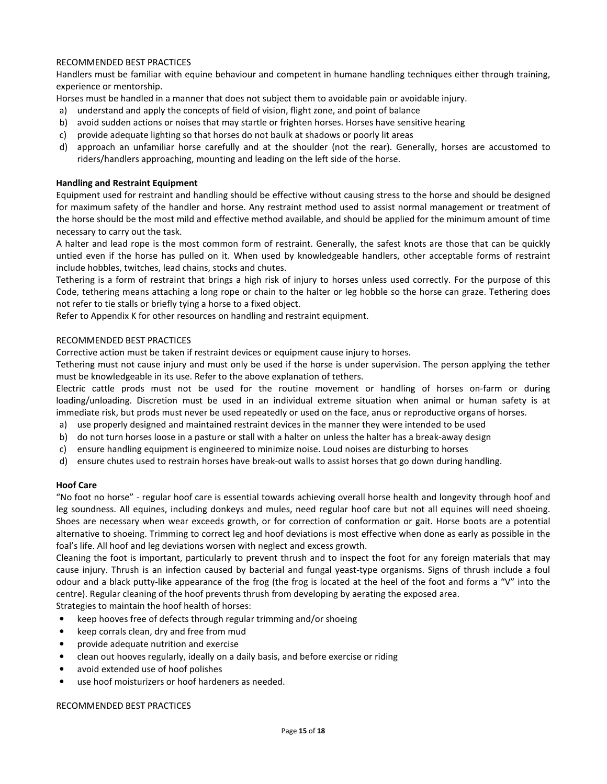# RECOMMENDED BEST PRACTICES

Handlers must be familiar with equine behaviour and competent in humane handling techniques either through training, experience or mentorship.

Horses must be handled in a manner that does not subject them to avoidable pain or avoidable injury.

- a) understand and apply the concepts of field of vision, flight zone, and point of balance
- b) avoid sudden actions or noises that may startle or frighten horses. Horses have sensitive hearing
- c) provide adequate lighting so that horses do not baulk at shadows or poorly lit areas
- d) approach an unfamiliar horse carefully and at the shoulder (not the rear). Generally, horses are accustomed to riders/handlers approaching, mounting and leading on the left side of the horse.

# **Handling and Restraint Equipment**

Equipment used for restraint and handling should be effective without causing stress to the horse and should be designed for maximum safety of the handler and horse. Any restraint method used to assist normal management or treatment of the horse should be the most mild and effective method available, and should be applied for the minimum amount of time necessary to carry out the task.

A halter and lead rope is the most common form of restraint. Generally, the safest knots are those that can be quickly untied even if the horse has pulled on it. When used by knowledgeable handlers, other acceptable forms of restraint include hobbles, twitches, lead chains, stocks and chutes.

Tethering is a form of restraint that brings a high risk of injury to horses unless used correctly. For the purpose of this Code, tethering means attaching a long rope or chain to the halter or leg hobble so the horse can graze. Tethering does not refer to tie stalls or briefly tying a horse to a fixed object.

Refer to Appendix K for other resources on handling and restraint equipment.

### RECOMMENDED BEST PRACTICES

Corrective action must be taken if restraint devices or equipment cause injury to horses.

Tethering must not cause injury and must only be used if the horse is under supervision. The person applying the tether must be knowledgeable in its use. Refer to the above explanation of tethers.

Electric cattle prods must not be used for the routine movement or handling of horses on-farm or during loading/unloading. Discretion must be used in an individual extreme situation when animal or human safety is at immediate risk, but prods must never be used repeatedly or used on the face, anus or reproductive organs of horses.

- a) use properly designed and maintained restraint devices in the manner they were intended to be used
- b) do not turn horses loose in a pasture or stall with a halter on unless the halter has a break-away design
- c) ensure handling equipment is engineered to minimize noise. Loud noises are disturbing to horses
- d) ensure chutes used to restrain horses have break-out walls to assist horses that go down during handling.

#### **Hoof Care**

"No foot no horse" - regular hoof care is essential towards achieving overall horse health and longevity through hoof and leg soundness. All equines, including donkeys and mules, need regular hoof care but not all equines will need shoeing. Shoes are necessary when wear exceeds growth, or for correction of conformation or gait. Horse boots are a potential alternative to shoeing. Trimming to correct leg and hoof deviations is most effective when done as early as possible in the foal's life. All hoof and leg deviations worsen with neglect and excess growth.

Cleaning the foot is important, particularly to prevent thrush and to inspect the foot for any foreign materials that may cause injury. Thrush is an infection caused by bacterial and fungal yeast-type organisms. Signs of thrush include a foul odour and a black putty-like appearance of the frog (the frog is located at the heel of the foot and forms a "V" into the centre). Regular cleaning of the hoof prevents thrush from developing by aerating the exposed area.

Strategies to maintain the hoof health of horses:

- keep hooves free of defects through regular trimming and/or shoeing
- keep corrals clean, dry and free from mud
- provide adequate nutrition and exercise
- clean out hooves regularly, ideally on a daily basis, and before exercise or riding
- avoid extended use of hoof polishes
- use hoof moisturizers or hoof hardeners as needed.

RECOMMENDED BEST PRACTICES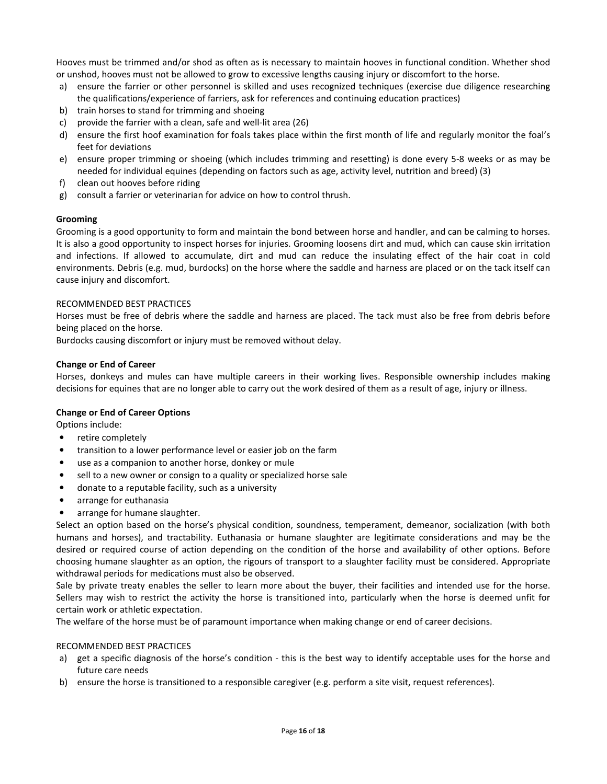Hooves must be trimmed and/or shod as often as is necessary to maintain hooves in functional condition. Whether shod or unshod, hooves must not be allowed to grow to excessive lengths causing injury or discomfort to the horse.

- a) ensure the farrier or other personnel is skilled and uses recognized techniques (exercise due diligence researching the qualifications/experience of farriers, ask for references and continuing education practices)
- b) train horses to stand for trimming and shoeing
- c) provide the farrier with a clean, safe and well-lit area (26)
- d) ensure the first hoof examination for foals takes place within the first month of life and regularly monitor the foal's feet for deviations
- e) ensure proper trimming or shoeing (which includes trimming and resetting) is done every 5-8 weeks or as may be needed for individual equines (depending on factors such as age, activity level, nutrition and breed) (3)
- f) clean out hooves before riding
- g) consult a farrier or veterinarian for advice on how to control thrush.

# **Grooming**

Grooming is a good opportunity to form and maintain the bond between horse and handler, and can be calming to horses. It is also a good opportunity to inspect horses for injuries. Grooming loosens dirt and mud, which can cause skin irritation and infections. If allowed to accumulate, dirt and mud can reduce the insulating effect of the hair coat in cold environments. Debris (e.g. mud, burdocks) on the horse where the saddle and harness are placed or on the tack itself can cause injury and discomfort.

### RECOMMENDED BEST PRACTICES

Horses must be free of debris where the saddle and harness are placed. The tack must also be free from debris before being placed on the horse.

Burdocks causing discomfort or injury must be removed without delay.

### **Change or End of Career**

Horses, donkeys and mules can have multiple careers in their working lives. Responsible ownership includes making decisions for equines that are no longer able to carry out the work desired of them as a result of age, injury or illness.

# **Change or End of Career Options**

Options include:

- retire completely
- transition to a lower performance level or easier job on the farm
- use as a companion to another horse, donkey or mule
- sell to a new owner or consign to a quality or specialized horse sale
- donate to a reputable facility, such as a university
- arrange for euthanasia
- arrange for humane slaughter.

Select an option based on the horse's physical condition, soundness, temperament, demeanor, socialization (with both humans and horses), and tractability. Euthanasia or humane slaughter are legitimate considerations and may be the desired or required course of action depending on the condition of the horse and availability of other options. Before choosing humane slaughter as an option, the rigours of transport to a slaughter facility must be considered. Appropriate withdrawal periods for medications must also be observed.

Sale by private treaty enables the seller to learn more about the buyer, their facilities and intended use for the horse. Sellers may wish to restrict the activity the horse is transitioned into, particularly when the horse is deemed unfit for certain work or athletic expectation.

The welfare of the horse must be of paramount importance when making change or end of career decisions.

# RECOMMENDED BEST PRACTICES

- a) get a specific diagnosis of the horse's condition this is the best way to identify acceptable uses for the horse and future care needs
- b) ensure the horse is transitioned to a responsible caregiver (e.g. perform a site visit, request references).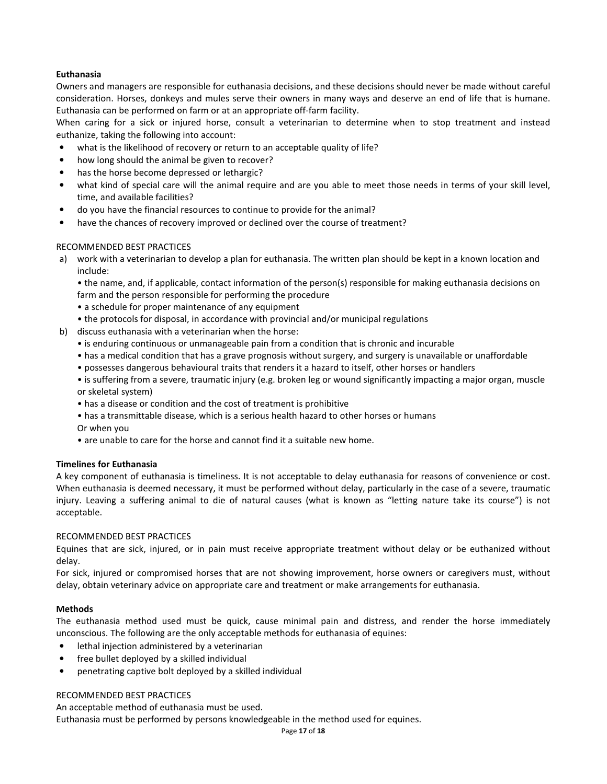# **Euthanasia**

Owners and managers are responsible for euthanasia decisions, and these decisions should never be made without careful consideration. Horses, donkeys and mules serve their owners in many ways and deserve an end of life that is humane. Euthanasia can be performed on farm or at an appropriate off-farm facility.

When caring for a sick or injured horse, consult a veterinarian to determine when to stop treatment and instead euthanize, taking the following into account:

- what is the likelihood of recovery or return to an acceptable quality of life?
- how long should the animal be given to recover?
- has the horse become depressed or lethargic?
- what kind of special care will the animal require and are you able to meet those needs in terms of your skill level, time, and available facilities?
- do you have the financial resources to continue to provide for the animal?
- have the chances of recovery improved or declined over the course of treatment?

# RECOMMENDED BEST PRACTICES

a) work with a veterinarian to develop a plan for euthanasia. The written plan should be kept in a known location and include:

• the name, and, if applicable, contact information of the person(s) responsible for making euthanasia decisions on farm and the person responsible for performing the procedure

- a schedule for proper maintenance of any equipment
- the protocols for disposal, in accordance with provincial and/or municipal regulations
- b) discuss euthanasia with a veterinarian when the horse:
	- is enduring continuous or unmanageable pain from a condition that is chronic and incurable
	- has a medical condition that has a grave prognosis without surgery, and surgery is unavailable or unaffordable
	- possesses dangerous behavioural traits that renders it a hazard to itself, other horses or handlers
	- is suffering from a severe, traumatic injury (e.g. broken leg or wound significantly impacting a major organ, muscle or skeletal system)
	- has a disease or condition and the cost of treatment is prohibitive
	- has a transmittable disease, which is a serious health hazard to other horses or humans Or when you
	- are unable to care for the horse and cannot find it a suitable new home.

#### **Timelines for Euthanasia**

A key component of euthanasia is timeliness. It is not acceptable to delay euthanasia for reasons of convenience or cost. When euthanasia is deemed necessary, it must be performed without delay, particularly in the case of a severe, traumatic injury. Leaving a suffering animal to die of natural causes (what is known as "letting nature take its course") is not acceptable.

#### RECOMMENDED BEST PRACTICES

Equines that are sick, injured, or in pain must receive appropriate treatment without delay or be euthanized without delay.

For sick, injured or compromised horses that are not showing improvement, horse owners or caregivers must, without delay, obtain veterinary advice on appropriate care and treatment or make arrangements for euthanasia.

#### **Methods**

The euthanasia method used must be quick, cause minimal pain and distress, and render the horse immediately unconscious. The following are the only acceptable methods for euthanasia of equines:

- lethal injection administered by a veterinarian
- free bullet deployed by a skilled individual
- penetrating captive bolt deployed by a skilled individual

#### RECOMMENDED BEST PRACTICES

An acceptable method of euthanasia must be used.

Euthanasia must be performed by persons knowledgeable in the method used for equines.